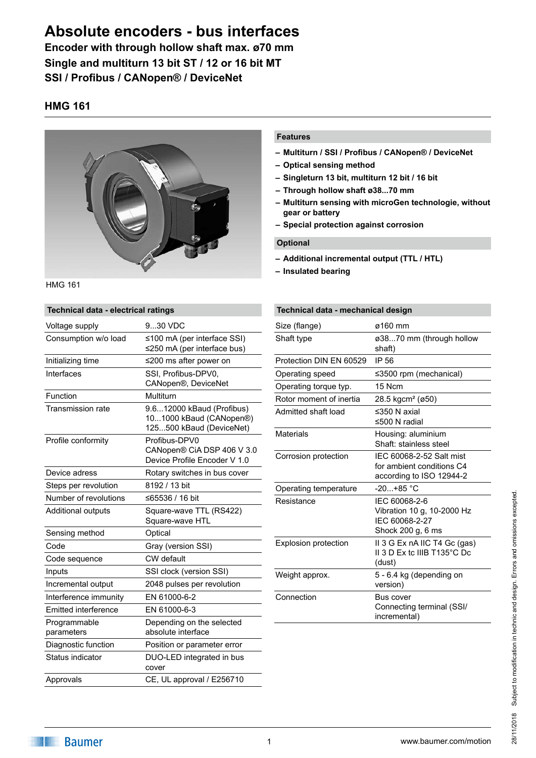**Encoder with through hollow shaft max. ø70 mm Single and multiturn 13 bit ST / 12 or 16 bit MT SSI / Profibus / CANopen® / DeviceNet**

## **HMG 161**



HMG 161

## **Technical data - electrical ratings** Voltage supply 9...30 VDC Consumption w/o load ≤100 mA (per interface SSI) ≤250 mA (per interface bus) Initializing time ≤200 ms after power on Interfaces SSI, Profibus-DPV0 CANopen®, DeviceNet Function Multiturn Transmission rate 9.6...12000 kBaud (Profibus) 10...1000 kBaud (CANopen®) 125...500 kBaud (DeviceNet) Profile conformity Profibus-DPV0 CANopen® CiA DSP 406 V 3.0 Device Profile Encoder V 1.0 Device adress Rotary switches in bus cover Steps per revolution 8192 / 13 bit Number of revolutions ≤65536 / 16 bit Additional outputs Square-wave TTL (RS422) Square-wave HTL Sensing method **Optical** Code Gray (version SSI) Code sequence **CW** default Inputs SSI clock (version SSI) Incremental output 2048 pulses per revolution Interference immunity EN 61000-6-2 Emitted interference EN 61000-6-3 Programmable parameters Depending on the selected absolute interface Diagnostic function Position or parameter error Status indicator **DUO-LED** integrated in bus

cover Approvals CE, UL approval / E256710

### **Features**

- **– Multiturn / SSI / Profibus / CANopen® / DeviceNet**
- **– Optical sensing method**
- **– Singleturn 13 bit, multiturn 12 bit / 16 bit**
- **– Through hollow shaft ø38...70 mm**
- **– Multiturn sensing with microGen technologie, without gear or battery**
- **– Special protection against corrosion**

### **Optional**

- **– Additional incremental output (TTL / HTL)**
- **– Insulated bearing**

## **Technical data - mechanical design** Size (flange) 6160 mm Shaft type *ø38...70* mm (through hollow shaft) Protection DIN EN 60529 IP 56 Operating speed ≤3500 rpm (mechanical) Operating torque typ. 15 Ncm Rotor moment of inertia 28.5 kgcm² (ø50) Admitted shaft load ≤350 N axial ≤500 N radial Materials Housing: aluminium Shaft: stainless steel Corrosion protection IEC 60068-2-52 Salt mist for ambient conditions C4 according to ISO 12944-2 Operating temperature -20...+85 °C Resistance IEC 60068-2-6 Vibration 10 g, 10-2000 Hz IEC 60068-2-27 Shock 200 g, 6 ms Explosion protection II 3 G Ex nA IIC T4 Gc (gas) II 3 D Ex tc IIIB T135°C Dc (dust) Weight approx. 5 - 6.4 kg (depending on version) Connection Bus cover Connecting terminal (SSI/ incremental)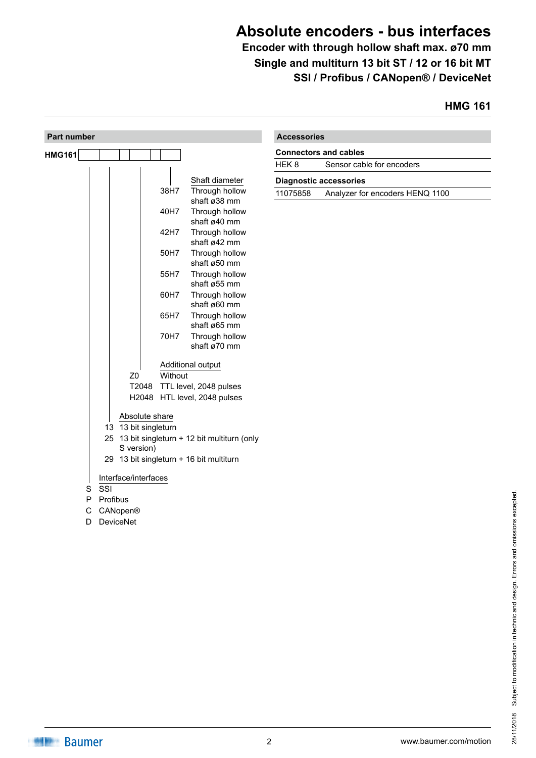**Encoder with through hollow shaft max. ø70 mm Single and multiturn 13 bit ST / 12 or 16 bit MT SSI / Profibus / CANopen® / DeviceNet**

# **HMG 161**

| <b>Part number</b> |                             |         |                                                              | <b>Accessories</b> |                                 |
|--------------------|-----------------------------|---------|--------------------------------------------------------------|--------------------|---------------------------------|
| HMG161             |                             |         |                                                              |                    | <b>Connectors and cables</b>    |
|                    |                             |         |                                                              | HEK8               | Sensor cable for encoders       |
|                    |                             |         | Shaft diameter                                               |                    | <b>Diagnostic accessories</b>   |
|                    |                             | 38H7    | Through hollow<br>shaft ø38 mm                               | 11075858           | Analyzer for encoders HENQ 1100 |
|                    |                             | 40H7    | Through hollow<br>shaft ø40 mm                               |                    |                                 |
|                    |                             | 42H7    | Through hollow<br>shaft ø42 mm                               |                    |                                 |
|                    |                             | 50H7    | Through hollow<br>shaft ø50 mm                               |                    |                                 |
|                    |                             | 55H7    | Through hollow<br>shaft ø55 mm                               |                    |                                 |
|                    |                             | 60H7    | Through hollow<br>shaft ø60 mm                               |                    |                                 |
|                    |                             | 65H7    | Through hollow<br>shaft ø65 mm                               |                    |                                 |
|                    |                             | 70H7    | Through hollow<br>shaft ø70 mm                               |                    |                                 |
|                    |                             |         | Additional output                                            |                    |                                 |
|                    | Z <sub>0</sub>              | Without |                                                              |                    |                                 |
|                    |                             |         | T2048 TTL level, 2048 pulses<br>H2048 HTL level, 2048 pulses |                    |                                 |
|                    | Absolute share              |         |                                                              |                    |                                 |
|                    | 13 13 bit singleturn        |         |                                                              |                    |                                 |
|                    | S version)                  |         | 25 13 bit singleturn + 12 bit multiturn (only                |                    |                                 |
|                    |                             |         | 29 13 bit singleturn + 16 bit multiturn                      |                    |                                 |
|                    |                             |         |                                                              |                    |                                 |
|                    | Interface/interfaces<br>SSI |         |                                                              |                    |                                 |
| S<br>P             | Profibus                    |         |                                                              |                    |                                 |
| $\mathsf C$        | CANopen®                    |         |                                                              |                    |                                 |
| D                  | <b>DeviceNet</b>            |         |                                                              |                    |                                 |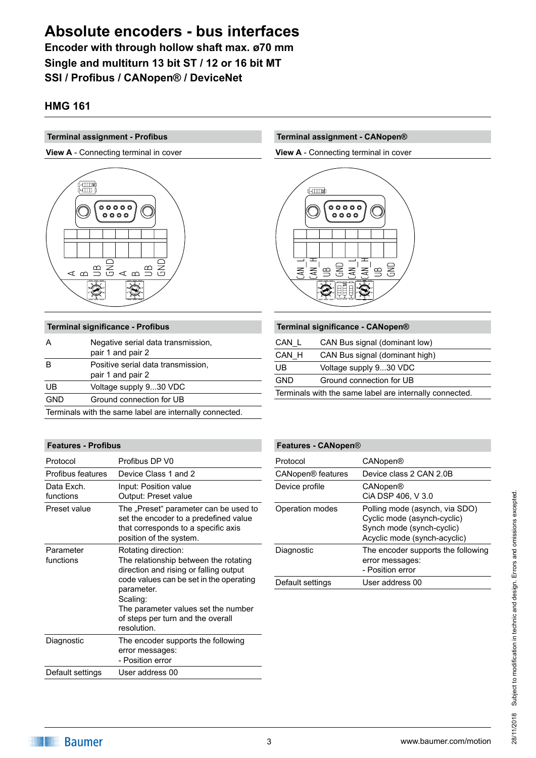**Encoder with through hollow shaft max. ø70 mm Single and multiturn 13 bit ST / 12 or 16 bit MT SSI / Profibus / CANopen® / DeviceNet**

## **HMG 161**

### **Terminal assignment - Profibus**

**View A** - Connecting terminal in cover



| <b>Terminal significance - Profibus</b>                 |                                                         |  |
|---------------------------------------------------------|---------------------------------------------------------|--|
| А                                                       | Negative serial data transmission,<br>pair 1 and pair 2 |  |
|                                                         | Positive serial data transmission,<br>pair 1 and pair 2 |  |
| UB                                                      | Voltage supply 930 VDC                                  |  |
| <b>GND</b>                                              | Ground connection for UB                                |  |
| Terminals with the same label are internally connected. |                                                         |  |

### **Features - Profibus**

| Protocol                | Profibus DP V0                                                                                                                                                                                                                                                         |
|-------------------------|------------------------------------------------------------------------------------------------------------------------------------------------------------------------------------------------------------------------------------------------------------------------|
| Profibus features       | Device Class 1 and 2                                                                                                                                                                                                                                                   |
| Data Exch.<br>functions | Input: Position value<br>Output: Preset value                                                                                                                                                                                                                          |
| Preset value            | The "Preset" parameter can be used to<br>set the encoder to a predefined value<br>that corresponds to a specific axis<br>position of the system.                                                                                                                       |
| Parameter<br>functions  | Rotating direction:<br>The relationship between the rotating<br>direction and rising or falling output<br>code values can be set in the operating<br>parameter.<br>Scaling:<br>The parameter values set the number<br>of steps per turn and the overall<br>resolution. |
| Diagnostic              | The encoder supports the following<br>error messages:<br>- Position error                                                                                                                                                                                              |
| Default settings        | User address 00                                                                                                                                                                                                                                                        |

## **Terminal assignment - CANopen®**

**View A** - Connecting terminal in cover



| Terminal significance - CANopen®                        |                                |  |
|---------------------------------------------------------|--------------------------------|--|
| CAN L                                                   | CAN Bus signal (dominant low)  |  |
| CAN H                                                   | CAN Bus signal (dominant high) |  |
| UB                                                      | Voltage supply 930 VDC         |  |
| <b>GND</b>                                              | Ground connection for UB       |  |
| Terminals with the same label are internally connected. |                                |  |
|                                                         |                                |  |

| Features - CANopen®           |                                                                                                                            |
|-------------------------------|----------------------------------------------------------------------------------------------------------------------------|
| Protocol                      | CANopen®                                                                                                                   |
| CANopen <sup>®</sup> features | Device class 2 CAN 2.0B                                                                                                    |
| Device profile                | CANopen®<br>CIA DSP 406, V 3.0                                                                                             |
| Operation modes               | Polling mode (asynch, via SDO)<br>Cyclic mode (asynch-cyclic)<br>Synch mode (synch-cyclic)<br>Acyclic mode (synch-acyclic) |
| Diagnostic                    | The encoder supports the following<br>error messages:<br>- Position error                                                  |
| Default settings              | User address 00                                                                                                            |
|                               |                                                                                                                            |

# 28/11/2018 Subject to modification in technic and design. Errors and omissions excepted. Subject to modification in technic and design. Errors and omissions excepted. 28/11/2018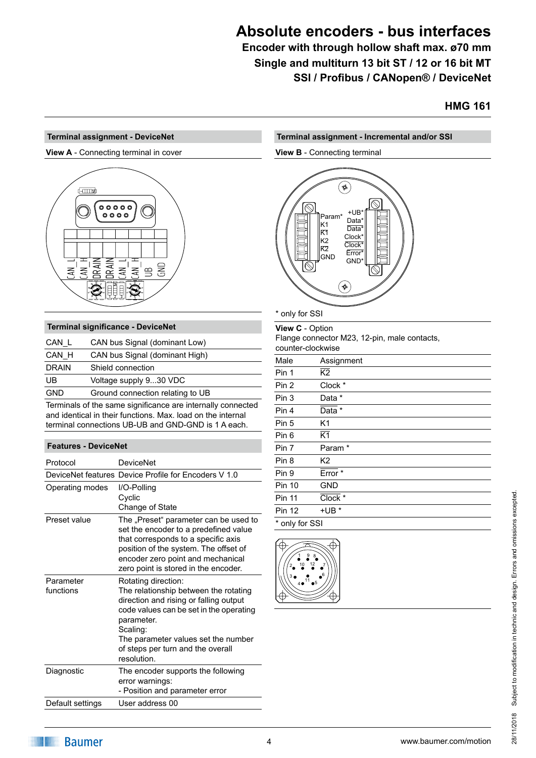**Encoder with through hollow shaft max. ø70 mm Single and multiturn 13 bit ST / 12 or 16 bit MT SSI / Profibus / CANopen® / DeviceNet**

## **HMG 161**

### **Terminal assignment - DeviceNet**

**View A** - Connecting terminal in cover



### **Terminal significance - DeviceNet**

| CAN L        | CAN bus Signal (dominant Low)    |
|--------------|----------------------------------|
| CAN H        | CAN bus Signal (dominant High)   |
| <b>DRAIN</b> | Shield connection                |
| UB           | Voltage supply 930 VDC           |
| <b>GND</b>   | Ground connection relating to UB |

Terminals of the same significance are internally connected and identical in their functions. Max. load on the internal terminal connections UB-UB and GND-GND is 1 A each.

### **Features - DeviceNet**

| Protocol               | <b>DeviceNet</b>                                                                                                                                                                                                                                                       |
|------------------------|------------------------------------------------------------------------------------------------------------------------------------------------------------------------------------------------------------------------------------------------------------------------|
|                        | DeviceNet features Device Profile for Encoders V 1.0                                                                                                                                                                                                                   |
| Operating modes        | I/O-Polling<br>Cyclic<br>Change of State                                                                                                                                                                                                                               |
| Preset value           | The "Preset" parameter can be used to<br>set the encoder to a predefined value<br>that corresponds to a specific axis<br>position of the system. The offset of<br>encoder zero point and mechanical<br>zero point is stored in the encoder.                            |
| Parameter<br>functions | Rotating direction:<br>The relationship between the rotating<br>direction and rising or falling output<br>code values can be set in the operating<br>parameter.<br>Scaling:<br>The parameter values set the number<br>of steps per turn and the overall<br>resolution. |
| Diagnostic             | The encoder supports the following<br>error warnings:<br>- Position and parameter error                                                                                                                                                                                |
| Default settings       | User address 00                                                                                                                                                                                                                                                        |

# **Terminal assignment - Incremental and/or SSI**

### **View B** - Connecting terminal



| only for SSI |  |
|--------------|--|
|--------------|--|

**View C** - Option

Flange connector M23, 12-pin, male contacts, counter-clockwise

| Male           | Assignment         |  |
|----------------|--------------------|--|
| Pin 1          | $\overline{K2}$    |  |
| Pin 2          | Clock *            |  |
| Pin 3          | Data *             |  |
| Pin 4          | Data *             |  |
| Pin 5          | K1                 |  |
| Pin 6          | $\overline{K1}$    |  |
| Pin 7          | Param <sup>*</sup> |  |
| Pin 8          | K <sub>2</sub>     |  |
| Pin 9          | Error <sup>*</sup> |  |
| <b>Pin 10</b>  | <b>GND</b>         |  |
| <b>Pin 11</b>  | Clock *            |  |
| <b>Pin 12</b>  | $+UB*$             |  |
| * only for SSI |                    |  |

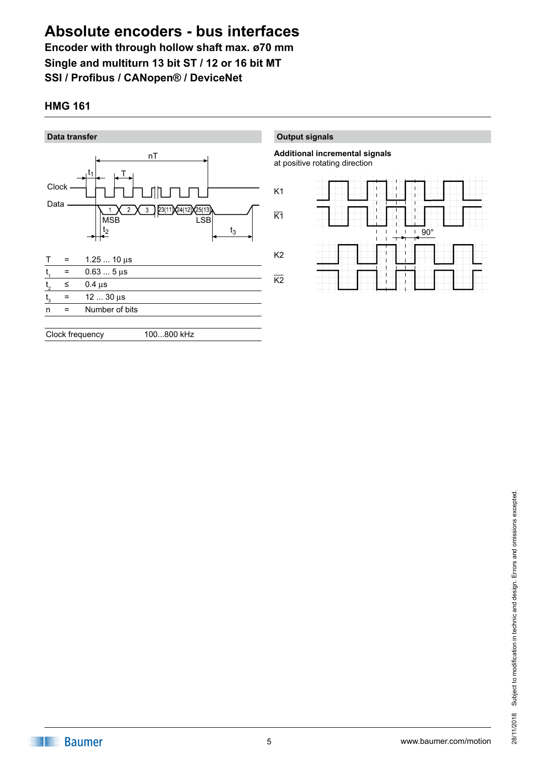**Encoder with through hollow shaft max. ø70 mm Single and multiturn 13 bit ST / 12 or 16 bit MT SSI / Profibus / CANopen® / DeviceNet**

# **HMG 161**



**Output signals**

**Additional incremental signals** at positive rotating direction